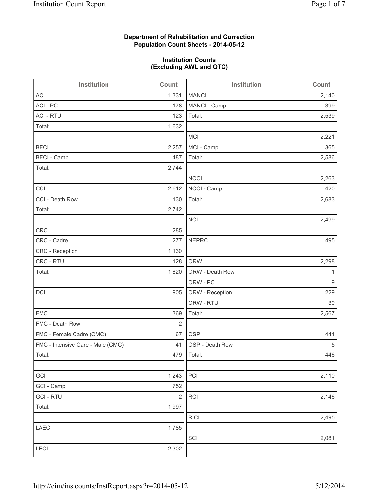### **Department of Rehabilitation and Correction Population Count Sheets - 2014-05-12**

#### **Institution Counts (Excluding AWL and OTC)**

| Institution                       | Count          | Institution     | Count |
|-----------------------------------|----------------|-----------------|-------|
| <b>ACI</b>                        | 1,331          | <b>MANCI</b>    | 2,140 |
| ACI - PC                          | 178            | MANCI - Camp    | 399   |
| <b>ACI - RTU</b>                  | 123            | Total:          | 2,539 |
| Total:                            | 1,632          |                 |       |
|                                   |                | MCI             | 2,221 |
| <b>BECI</b>                       | 2,257          | MCI - Camp      | 365   |
| <b>BECI</b> - Camp                | 487            | Total:          | 2,586 |
| Total:                            | 2,744          |                 |       |
|                                   |                | <b>NCCI</b>     | 2,263 |
| CCI                               | 2,612          | NCCI - Camp     | 420   |
| CCI - Death Row                   | 130            | Total:          | 2,683 |
| Total:                            | 2,742          |                 |       |
|                                   |                | <b>NCI</b>      | 2,499 |
| <b>CRC</b>                        | 285            |                 |       |
| CRC - Cadre                       | 277            | <b>NEPRC</b>    | 495   |
| CRC - Reception                   | 1,130          |                 |       |
| CRC - RTU                         | 128            | <b>ORW</b>      | 2,298 |
| Total:                            | 1,820          | ORW - Death Row | 1     |
|                                   |                | ORW - PC        | 9     |
| DCI                               | 905            | ORW - Reception | 229   |
|                                   |                | ORW - RTU       | 30    |
| <b>FMC</b>                        | 369            | Total:          | 2,567 |
| FMC - Death Row                   | $\overline{2}$ |                 |       |
| FMC - Female Cadre (CMC)          | 67             | <b>OSP</b>      | 441   |
| FMC - Intensive Care - Male (CMC) | 41             | OSP - Death Row | 5     |
| Total:                            |                | 479   Total:    | 446   |
|                                   |                |                 |       |
| GCI                               | 1,243          | PCI             | 2,110 |
| GCI - Camp                        | 752            |                 |       |
| <b>GCI-RTU</b>                    | $\sqrt{2}$     | RCI             | 2,146 |
| Total:                            | 1,997          |                 |       |
|                                   |                | <b>RICI</b>     | 2,495 |
| <b>LAECI</b>                      | 1,785          |                 |       |
|                                   |                | SCI             | 2,081 |
| LECI                              | 2,302          |                 |       |
|                                   |                |                 |       |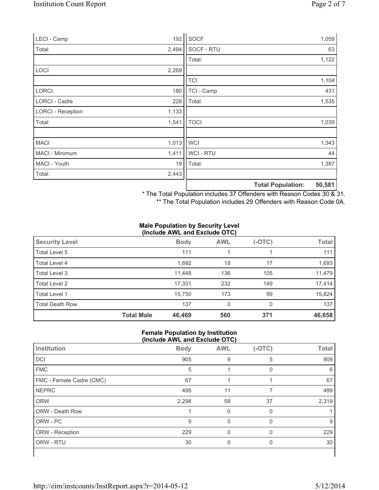| LECI - Camp              | 192   | SOCF           |                          | 1,059  |
|--------------------------|-------|----------------|--------------------------|--------|
| Total:                   | 2,494 | SOCF - RTU     |                          | 63     |
|                          |       | Total:         |                          | 1,122  |
| <b>LOCI</b>              | 2,269 |                |                          |        |
|                          |       | <b>TCI</b>     |                          | 1,104  |
| <b>LORCI</b>             | 180   | TCI - Camp     |                          | 431    |
| LORCI - Cadre            | 228   | Total:         |                          | 1,535  |
| <b>LORCI - Reception</b> | 1,133 |                |                          |        |
| Total:                   | 1,541 | <b>TOCI</b>    |                          | 1,039  |
|                          |       |                |                          |        |
| <b>MACI</b>              | 1,013 | <b>WCI</b>     |                          | 1,343  |
| MACI - Minimum           | 1,411 | <b>WCI-RTU</b> |                          | 44     |
| MACI - Youth             | 19    | Total:         |                          | 1,387  |
| Total:                   | 2,443 |                |                          |        |
|                          |       |                | <b>Total Population:</b> | 50,581 |

\* The Total Population includes 37 Offenders with Reason Codes 30 & 31.

\*\* The Total Population includes 29 Offenders with Reason Code 0A.

#### **Male Population by Security Level (Include AWL and Exclude OTC)**

| <b>Security Level</b>  |                   | <b>Body</b> | <b>AWL</b> | $(-OTC)$ | <b>Total</b> |
|------------------------|-------------------|-------------|------------|----------|--------------|
| Total Level 5          |                   | 111         |            |          | 111          |
| Total Level 4          |                   | 1,692       | 18         | 17       | 1,693        |
| Total Level 3          |                   | 11,448      | 136        | 105      | 11,479       |
| Total Level 2          |                   | 17,331      | 232        | 149      | 17,414       |
| Total Level 1          |                   | 15.750      | 173        | 99       | 15,824       |
| <b>Total Death Row</b> |                   | 137         | 0          | $\Omega$ | 137          |
|                        | <b>Total Male</b> | 46,469      | 560        | 371      | 46,658       |

#### **Female Population by Institution (Include AWL and Exclude OTC)**

| Institution              | <b>Body</b> | <b>AWL</b> | $(-OTC)$ | <b>Total</b> |  |  |
|--------------------------|-------------|------------|----------|--------------|--|--|
| <b>DCI</b>               | 905         | 9          | 5        | 909          |  |  |
| <b>FMC</b>               | 5           |            | 0        | 6            |  |  |
| FMC - Female Cadre (CMC) | 67          |            |          | 67           |  |  |
| <b>NEPRC</b>             | 495         | 11         |          | 499          |  |  |
| <b>ORW</b>               | 2,298       | 58         | 37       | 2,319        |  |  |
| <b>ORW - Death Row</b>   |             | 0          | 0        |              |  |  |
| ORW - PC                 | 9           | 0          | $\Omega$ | 9            |  |  |
| ORW - Reception          | 229         |            |          | 229          |  |  |
| ORW - RTU                | 30          | 0          | 0        | 30           |  |  |
|                          |             |            |          |              |  |  |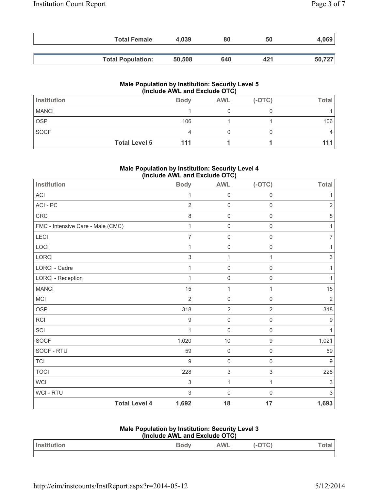| <b>Total Female</b>      | 4.039  | 80  | 50  | 4,069  |
|--------------------------|--------|-----|-----|--------|
|                          |        |     |     |        |
| <b>Total Population:</b> | 50,508 | 640 | 421 | 50,727 |

#### **Male Population by Institution: Security Level 5 (Include AWL and Exclude OTC)**

| Institution  |                      | <b>Body</b> | <b>AWL</b> | $(-OTC)$ | <b>Total</b> |
|--------------|----------------------|-------------|------------|----------|--------------|
| <b>MANCI</b> |                      |             |            |          |              |
| <b>OSP</b>   |                      | 106         |            |          | 106          |
| SOCF         |                      |             |            |          |              |
|              | <b>Total Level 5</b> | 111         |            |          |              |

#### **Male Population by Institution: Security Level 4 (Include AWL and Exclude OTC)**

| <b>Institution</b>                | <b>Body</b>    | <b>AWL</b>                | $(-OTC)$            | <b>Total</b>     |
|-----------------------------------|----------------|---------------------------|---------------------|------------------|
| ACI                               | 1              | $\mathsf 0$               | $\mathbf 0$         | 1                |
| ACI - PC                          | $\overline{2}$ | $\mathbf 0$               | $\mathbf 0$         | $\overline{2}$   |
| CRC                               | 8              | $\mathsf{O}\xspace$       | $\mathsf 0$         | 8                |
| FMC - Intensive Care - Male (CMC) | 1              | $\mathsf{O}\xspace$       | $\mathbf 0$         | 1                |
| <b>LECI</b>                       | $\overline{7}$ | $\mathsf{O}\xspace$       | $\mathbf 0$         | 7                |
| LOCI                              | 1              | $\mathsf 0$               | $\mathsf{O}\xspace$ |                  |
| LORCI                             | 3              | 1                         | 1                   | 3                |
| <b>LORCI - Cadre</b>              | 1              | $\mathsf{O}\xspace$       | $\mathbf 0$         | 1                |
| <b>LORCI - Reception</b>          | 1              | $\mathsf 0$               | $\mathbf 0$         |                  |
| <b>MANCI</b>                      | 15             | 1                         | 1                   | 15               |
| MCI                               | $\overline{2}$ | $\mathsf{O}\xspace$       | $\mathbf 0$         | $\overline{2}$   |
| <b>OSP</b>                        | 318            | $\overline{2}$            | $\overline{2}$      | 318              |
| <b>RCI</b>                        | 9              | $\mathsf 0$               | $\mathsf 0$         | $\boldsymbol{9}$ |
| SCI                               | 1              | $\mathsf 0$               | $\mathbf 0$         | 1                |
| <b>SOCF</b>                       | 1,020          | 10                        | $\boldsymbol{9}$    | 1,021            |
| SOCF - RTU                        | 59             | $\mathsf 0$               | $\mathsf{O}\xspace$ | 59               |
| <b>TCI</b>                        | 9              | $\mathsf{O}\xspace$       | $\mathbf 0$         | $9\,$            |
| <b>TOCI</b>                       | 228            | $\ensuremath{\mathsf{3}}$ | $\sqrt{3}$          | 228              |
| <b>WCI</b>                        | 3              | $\mathbf{1}$              | $\mathbf{1}$        | 3                |
| WCI - RTU                         | 3              | $\mathsf{O}\xspace$       | $\mathbf 0$         | 3                |
| <b>Total Level 4</b>              | 1,692          | 18                        | 17                  | 1,693            |

### **Male Population by Institution: Security Level 3**

| (Include AWL and Exclude OTC) |             |     |          |        |
|-------------------------------|-------------|-----|----------|--------|
| <b>Institution</b>            | <b>Body</b> | AWL | $(-OTC)$ | Totall |
|                               |             |     |          |        |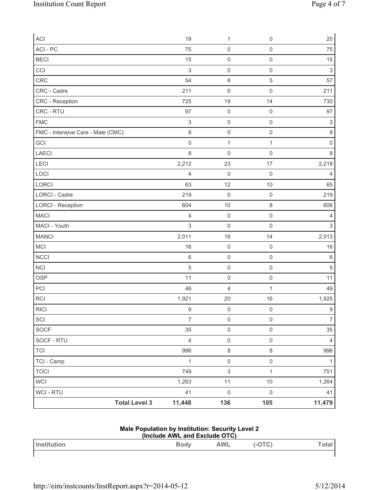| ACI                               | 19                        | $\mathbf{1}$        | $\boldsymbol{0}$    | 20                  |
|-----------------------------------|---------------------------|---------------------|---------------------|---------------------|
| ACI - PC                          | 75                        | $\mathsf{O}\xspace$ | $\mathsf 0$         | 75                  |
| <b>BECI</b>                       | 15                        | $\mathsf{O}\xspace$ | $\mathsf{O}\xspace$ | 15                  |
| CCI                               | $\mathsf 3$               | $\mathsf 0$         | $\mathsf{O}\xspace$ | $\mathfrak{S}$      |
| CRC                               | 54                        | $\,8\,$             | 5                   | 57                  |
| CRC - Cadre                       | 211                       | $\mathsf{O}\xspace$ | $\boldsymbol{0}$    | 211                 |
| CRC - Reception                   | 725                       | 19                  | 14                  | 730                 |
| CRC - RTU                         | 97                        | $\mathsf{O}\xspace$ | $\mathsf{O}\xspace$ | 97                  |
| <b>FMC</b>                        | $\ensuremath{\mathsf{3}}$ | $\mathsf 0$         | $\mathsf 0$         | $\sqrt{3}$          |
| FMC - Intensive Care - Male (CMC) | 8                         | $\mathsf{O}\xspace$ | $\mathsf{O}\xspace$ | $\,8\,$             |
| GCI                               | $\mathsf{O}\xspace$       | $\mathbf 1$         | $\mathbf 1$         | $\mathsf{O}\xspace$ |
| LAECI                             | 8                         | $\mathsf{O}\xspace$ | $\mathsf 0$         | $\,8\,$             |
| LECI                              | 2,212                     | 23                  | 17                  | 2,218               |
| LOCI                              | 4                         | $\mathsf{O}\xspace$ | $\mathsf{O}\xspace$ | $\overline{4}$      |
| <b>LORCI</b>                      | 63                        | 12                  | 10                  | 65                  |
| LORCI - Cadre                     | 219                       | $\mathsf{O}\xspace$ | $\mathsf{O}\xspace$ | 219                 |
| <b>LORCI - Reception</b>          | 604                       | $10$                | $\,8\,$             | 606                 |
| <b>MACI</b>                       | 4                         | $\mathsf{O}\xspace$ | $\mathsf 0$         | 4                   |
| MACI - Youth                      | 3                         | $\mathsf 0$         | $\mathsf 0$         | $\mathfrak{S}$      |
| <b>MANCI</b>                      | 2,011                     | 16                  | 14                  | 2,013               |
| MCI                               | 16                        | $\mathsf{O}\xspace$ | $\mathsf{O}\xspace$ | 16                  |
| <b>NCCI</b>                       | $\,6\,$                   | $\mathsf 0$         | $\mathsf 0$         | $\,6$               |
| NCI                               | 5                         | $\mathsf 0$         | $\mathsf 0$         | 5                   |
| <b>OSP</b>                        | 11                        | $\mathsf 0$         | $\mathsf 0$         | 11                  |
| PCI                               | 46                        | 4                   | $\mathbf{1}$        | 49                  |
| <b>RCI</b>                        | 1,921                     | 20                  | 16                  | 1,925               |
| <b>RICI</b>                       | $9\,$                     | $\mathsf{O}\xspace$ | $\mathbf 0$         | $\boldsymbol{9}$    |
| SCI                               | $\overline{7}$            | $\mathsf{O}\xspace$ | $\mathsf{O}\xspace$ | $\overline{7}$      |
| SOCF                              | 35                        | $\mathsf{O}\xspace$ | $\mathsf{O}\xspace$ | 35                  |
| SOCF - RTU                        | $\overline{4}$            | $\mathsf{O}\xspace$ | $\mathsf{O}\xspace$ | $\overline{4}$      |
| TCI                               | 996                       | $\,8\,$             | $\,8\,$             | 996                 |
| TCI - Camp                        | $\mathbf{1}$              | $\mathsf{O}\xspace$ | $\mathsf{O}\xspace$ | 1                   |
| <b>TOCI</b>                       | 749                       | $\mathsf 3$         | $\mathbf{1}$        | 751                 |
| WCI                               | 1,263                     | 11                  | $10$                | 1,264               |
| <b>WCI - RTU</b>                  | 41                        | $\mathsf{O}\xspace$ | $\mathsf{O}\xspace$ | 41                  |
| <b>Total Level 3</b>              | 11,448                    | 136                 | 105                 | 11,479              |

## **Male Population by Institution: Security Level 2**

| (Include AWL and Exclude OTC) |      |            |        |       |
|-------------------------------|------|------------|--------|-------|
| <b>I</b> Institution          | Bodv | <b>AWL</b> | (-OTC) | Total |
|                               |      |            |        |       |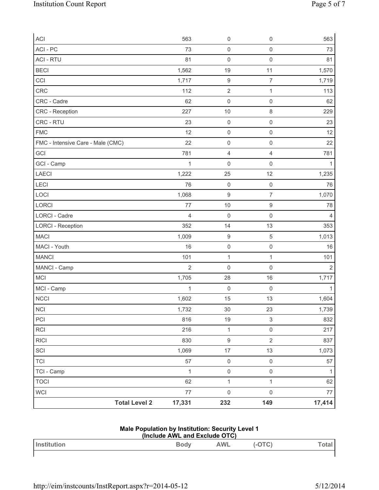| ACI                               | 563            | $\mathsf{O}\xspace$     | $\mathsf{O}\xspace$      | 563            |
|-----------------------------------|----------------|-------------------------|--------------------------|----------------|
| ACI - PC                          | 73             | $\mathsf{O}\xspace$     | $\mathsf{O}\xspace$      | 73             |
| <b>ACI - RTU</b>                  | 81             | $\mathbf 0$             | $\mathsf{O}\xspace$      | 81             |
| <b>BECI</b>                       | 1,562          | 19                      | 11                       | 1,570          |
| CCI                               | 1,717          | $\hbox{9}$              | $\overline{7}$           | 1,719          |
| CRC                               | 112            | $\overline{2}$          | $\mathbf 1$              | 113            |
| CRC - Cadre                       | 62             | $\mathsf{O}\xspace$     | $\mathsf{O}\xspace$      | 62             |
| CRC - Reception                   | 227            | 10                      | 8                        | 229            |
| CRC - RTU                         | 23             | $\mathsf{O}\xspace$     | $\mathsf 0$              | 23             |
| <b>FMC</b>                        | 12             | $\mathsf{O}\xspace$     | $\mathsf{O}\xspace$      | 12             |
| FMC - Intensive Care - Male (CMC) | 22             | $\mathsf{O}\xspace$     | $\mathsf{O}\xspace$      | 22             |
| GCI                               | 781            | $\overline{\mathbf{4}}$ | $\overline{4}$           | 781            |
| GCI - Camp                        | $\mathbf 1$    | 0                       | $\mathsf{O}\xspace$      | 1              |
| LAECI                             | 1,222          | 25                      | 12                       | 1,235          |
| LECI                              | 76             | $\mathsf{O}\xspace$     | $\mathsf{O}\xspace$      | 76             |
| LOCI                              | 1,068          | 9                       | $\overline{\mathcal{I}}$ | 1,070          |
| LORCI                             | 77             | 10                      | $\boldsymbol{9}$         | 78             |
| LORCI - Cadre                     | $\overline{4}$ | $\mathbf 0$             | $\mathbf 0$              | 4              |
| <b>LORCI - Reception</b>          | 352            | 14                      | 13                       | 353            |
| <b>MACI</b>                       | 1,009          | $\hbox{9}$              | 5                        | 1,013          |
| MACI - Youth                      | 16             | $\mathsf{O}\xspace$     | $\mathsf{O}\xspace$      | 16             |
| <b>MANCI</b>                      | 101            | $\mathbf{1}$            | $\mathbf{1}$             | 101            |
| MANCI - Camp                      | $\overline{2}$ | $\mathbf 0$             | $\mathsf 0$              | $\overline{2}$ |
| MCI                               | 1,705          | 28                      | 16                       | 1,717          |
| MCI - Camp                        | 1              | $\mathsf{O}\xspace$     | $\mathbf 0$              | $\mathbf{1}$   |
| <b>NCCI</b>                       | 1,602          | 15                      | 13                       | 1,604          |
| $\sf NCI$                         | 1,732          | $30\,$                  | 23                       | 1,739          |
| PCI                               | 816            | 19                      | $\mathsf 3$              | 832            |
| RCI                               | 216            | $\mathbf{1}$            | $\mathsf{O}\xspace$      | 217            |
| RICI                              | 830            | $\hbox{9}$              | $\overline{2}$           | 837            |
| SCI                               | 1,069          | 17                      | 13                       | 1,073          |
| <b>TCI</b>                        | 57             | $\mathsf{O}\xspace$     | $\mathsf{O}\xspace$      | 57             |
| TCI - Camp                        | $\mathbf{1}$   | $\mathsf{O}\xspace$     | $\mathbf 0$              | $\mathbf{1}$   |
| <b>TOCI</b>                       | 62             | $\mathbf 1$             | $\mathbf{1}$             | 62             |
| WCI                               | 77             | $\mathsf{O}\xspace$     | $\mathsf 0$              | $77 \,$        |
| <b>Total Level 2</b>              | 17,331         | 232                     | 149                      | 17,414         |

### **Male Population by Institution: Security Level 1**

| (Include AWL and Exclude OTC) |      |     |  |       |
|-------------------------------|------|-----|--|-------|
| <b>Institution</b>            | Bodv | AWL |  | Total |

 $\mathsf{I}$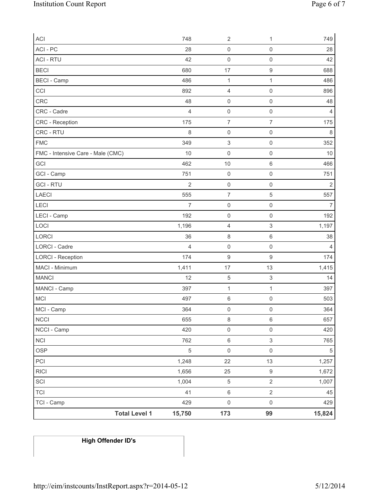| ACI                               | 748            | $\overline{2}$            | 1                         | 749            |
|-----------------------------------|----------------|---------------------------|---------------------------|----------------|
| ACI - PC                          | 28             | $\mathsf{O}\xspace$       | $\mathsf{O}\xspace$       | 28             |
| <b>ACI - RTU</b>                  | 42             | $\mathsf{O}\xspace$       | $\mathsf 0$               | 42             |
| <b>BECI</b>                       | 680            | 17                        | $\boldsymbol{9}$          | 688            |
| <b>BECI</b> - Camp                | 486            | $\mathbf{1}$              | $\mathbf{1}$              | 486            |
| CCI                               | 892            | $\overline{4}$            | $\mathsf 0$               | 896            |
| CRC                               | 48             | $\mathsf{O}\xspace$       | $\mathsf{O}\xspace$       | 48             |
| CRC - Cadre                       | $\overline{4}$ | $\mathsf{O}\xspace$       | $\mathsf{O}\xspace$       | $\overline{4}$ |
| CRC - Reception                   | 175            | $\overline{7}$            | $\overline{7}$            | 175            |
| CRC - RTU                         | 8              | $\mathsf 0$               | $\mathsf{O}\xspace$       | $\,8\,$        |
| <b>FMC</b>                        | 349            | $\ensuremath{\mathsf{3}}$ | $\mathsf{O}\xspace$       | 352            |
| FMC - Intensive Care - Male (CMC) | 10             | $\mathsf 0$               | $\mathsf{O}\xspace$       | 10             |
| GCI                               | 462            | 10                        | 6                         | 466            |
| GCI - Camp                        | 751            | $\mathsf 0$               | $\mathsf{O}\xspace$       | 751            |
| <b>GCI-RTU</b>                    | $\overline{2}$ | $\mathsf{O}\xspace$       | $\mathsf{O}\xspace$       | $\sqrt{2}$     |
| LAECI                             | 555            | $\overline{7}$            | $\sqrt{5}$                | 557            |
| LECI                              | $\overline{7}$ | $\mathsf{O}\xspace$       | $\mathsf{O}\xspace$       | $\overline{7}$ |
| LECI - Camp                       | 192            | $\mathsf{O}\xspace$       | $\mathsf 0$               | 192            |
| LOCI                              | 1,196          | $\overline{4}$            | $\ensuremath{\mathsf{3}}$ | 1,197          |
| LORCI                             | 36             | $\,8\,$                   | $\,6$                     | 38             |
| <b>LORCI - Cadre</b>              | 4              | $\mathsf 0$               | $\mathsf 0$               | $\overline{4}$ |
| <b>LORCI - Reception</b>          | 174            | $\mathsf g$               | $\boldsymbol{9}$          | 174            |
| MACI - Minimum                    | 1,411          | 17                        | 13                        | 1,415          |
| <b>MANCI</b>                      | 12             | $\,$ 5 $\,$               | $\,$ 3 $\,$               | 14             |
| MANCI - Camp                      | 397            | $\mathbf{1}$              | $\mathbf{1}$              | 397            |
| <b>MCI</b>                        | 497            | $\,6\,$                   | $\mathsf{O}\xspace$       | 503            |
| MCI - Camp                        | 364            | $\mathsf{O}\xspace$       | $\mathsf{O}\xspace$       | 364            |
| <b>NCCI</b>                       | 655            | $\,8\,$                   | 6                         | 657            |
| NCCI - Camp                       | 420            | $\mathsf{O}\xspace$       | $\mathsf{O}\xspace$       | 420            |
| <b>NCI</b>                        | 762            | $\,6\,$                   | $\mathsf 3$               | 765            |
| OSP                               | $\sqrt{5}$     | $\mathsf{O}\xspace$       | $\mathsf{O}\xspace$       | 5              |
| PCI                               | 1,248          | 22                        | 13                        | 1,257          |
| <b>RICI</b>                       | 1,656          | 25                        | $\boldsymbol{9}$          | 1,672          |
| SCI                               | 1,004          | $\sqrt{5}$                | $\overline{2}$            | 1,007          |
| <b>TCI</b>                        | 41             | $\,6\,$                   | $\overline{2}$            | 45             |
| TCI - Camp                        | 429            | $\mathsf 0$               | $\mathsf{O}\xspace$       | 429            |
| <b>Total Level 1</b>              | 15,750         | 173                       | 99                        | 15,824         |

# **High Offender ID's**